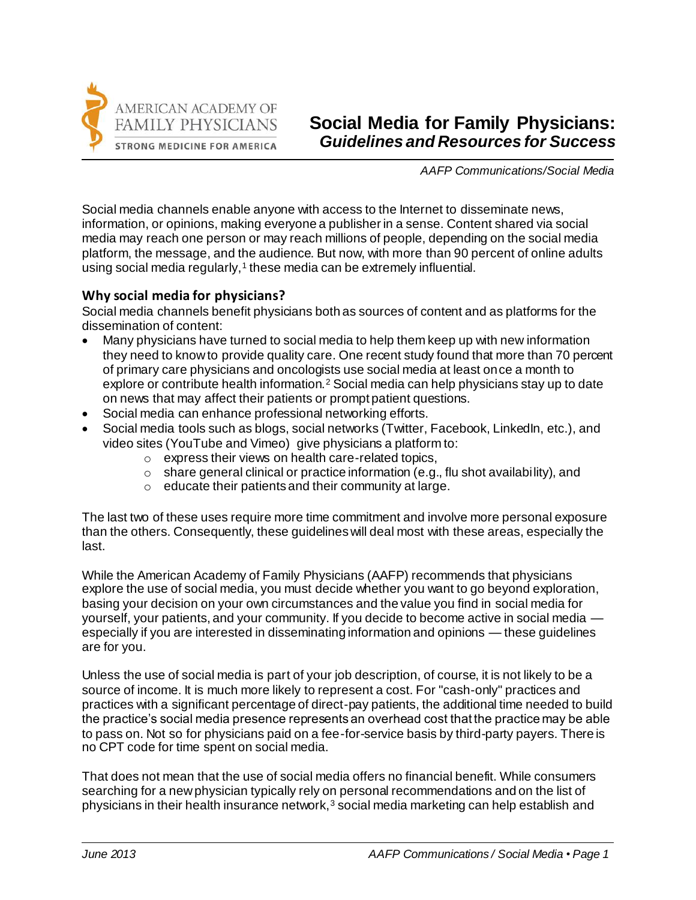

# **Social Media for Family Physicians:**  *Guidelines and Resources for Success*

*AAFP Communications/Social Media*

Social media channels enable anyone with access to the Internet to disseminate news, information, or opinions, making everyone a publisher in a sense. Content shared via social media may reach one person or may reach millions of people, depending on the social media platform, the message, and the audience. But now, with more than 90 percent of online adults using social media regularly,<sup>1</sup> these media can be extremely influential.

## **Why social media for physicians?**

Social media channels benefit physicians both as sources of content and as platforms for the dissemination of content:

- Many physicians have turned to social media to help them keep up with new information they need to know to provide quality care. One recent study found that more than 70 percent of primary care physicians and oncologists use social media at least once a month to explore or contribute health information.<sup>2</sup> Social media can help physicians stay up to date on news that may affect their patients or prompt patient questions.
- Social media can enhance professional networking efforts.
- Social media tools such as blogs, social networks (Twitter, Facebook, LinkedIn, etc.), and video sites (YouTube and Vimeo) give physicians a platform to:
	- $\circ$  express their views on health care-related topics.
	- $\circ$  share general clinical or practice information (e.g., flu shot availability), and
	- o educate their patients and their community at large.

The last two of these uses require more time commitment and involve more personal exposure than the others. Consequently, these guidelines will deal most with these areas, especially the last.

While the American Academy of Family Physicians (AAFP) recommends that physicians explore the use of social media, you must decide whether you want to go beyond exploration, basing your decision on your own circumstances and the value you find in social media for yourself, your patients, and your community. If you decide to become active in social media especially if you are interested in disseminating information and opinions — these guidelines are for you.

Unless the use of social media is part of your job description, of course, it is not likely to be a source of income. It is much more likely to represent a cost. For "cash-only" practices and practices with a significant percentage of direct-pay patients, the additional time needed to build the practice's social media presence represents an overhead cost that the practice may be able to pass on. Not so for physicians paid on a fee-for-service basis by third-party payers. There is no CPT code for time spent on social media.

That does not mean that the use of social media offers no financial benefit. While consumers searching for a new physician typically rely on personal recommendations and on the list of physicians in their health insurance network, $3$  social media marketing can help establish and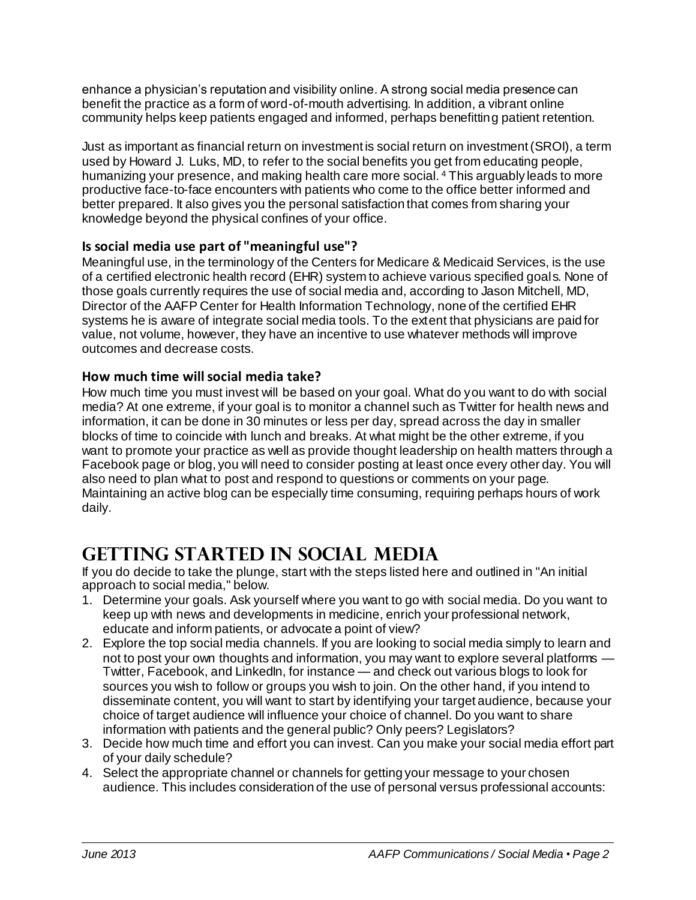enhance a physician's reputation and visibility online. A strong social media presence can benefit the practice as a form of word-of-mouth advertising. In addition, a vibrant online community helps keep patients engaged and informed, perhaps benefitting patient retention.

Just as important as financial return on investment is social return on investment (SROI), a term used by Howard J. Luks, MD, to refer to the social benefits you get from educating people, humanizing your presence, and making health care more social. <sup>4</sup> This arguably leads to more productive face-to-face encounters with patients who come to the office better informed and better prepared. It also gives you the personal satisfaction that comes from sharing your knowledge beyond the physical confines of your office.

## **Is social media use part of "meaningful use"?**

Meaningful use, in the terminology of the Centers for Medicare & Medicaid Services, is the use of a certified electronic health record (EHR) system to achieve various specified goals. None of those goals currently requires the use of social media and, according to Jason Mitchell, MD, Director of the AAFP Center for Health Information Technology, none of the certified EHR systems he is aware of integrate social media tools. To the extent that physicians are paid for value, not volume, however, they have an incentive to use whatever methods will improve outcomes and decrease costs.

## **How much time will social media take?**

How much time you must invest will be based on your goal. What do you want to do with social media? At one extreme, if your goal is to monitor a channel such as Twitter for health news and information, it can be done in 30 minutes or less per day, spread across the day in smaller blocks of time to coincide with lunch and breaks. At what might be the other extreme, if you want to promote your practice as well as provide thought leadership on health matters through a Facebook page or blog, you will need to consider posting at least once every other day. You will also need to plan what to post and respond to questions or comments on your page. Maintaining an active blog can be especially time consuming, requiring perhaps hours of work daily.

# **GEtting started in social media**

If you do decide to take the plunge, start with the steps listed here and outlined in "An initial approach to social media," below.

- 1. Determine your goals. Ask yourself where you want to go with social media. Do you want to keep up with news and developments in medicine, enrich your professional network, educate and inform patients, or advocate a point of view?
- 2. Explore the top social media channels. If you are looking to social media simply to learn and not to post your own thoughts and information, you may want to explore several platforms -Twitter, Facebook, and LinkedIn, for instance — and check out various blogs to look for sources you wish to follow or groups you wish to join. On the other hand, if you intend to disseminate content, you will want to start by identifying your target audience, because your choice of target audience will influence your choice of channel. Do you want to share information with patients and the general public? Only peers? Legislators?
- 3. Decide how much time and effort you can invest. Can you make your social media effort part of your daily schedule?
- 4. Select the appropriate channel or channels for getting your message to your chosen audience. This includes consideration of the use of personal versus professional accounts: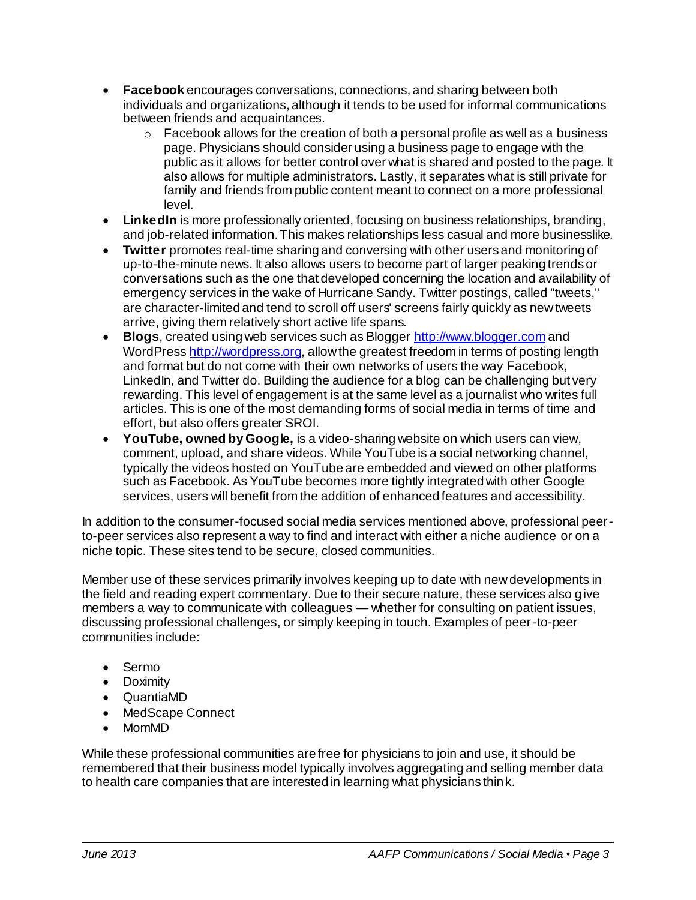- **Facebook** encourages conversations, connections, and sharing between both individuals and organizations, although it tends to be used for informal communications between friends and acquaintances.
	- $\circ$  Facebook allows for the creation of both a personal profile as well as a business page. Physicians should consider using a business page to engage with the public as it allows for better control over what is shared and posted to the page. It also allows for multiple administrators. Lastly, it separates what is still private for family and friends from public content meant to connect on a more professional level.
- **LinkedIn** is more professionally oriented, focusing on business relationships, branding, and job-related information. This makes relationships less casual and more businesslike.
- **Twitter** promotes real-time sharing and conversing with other users and monitoring of up-to-the-minute news. It also allows users to become part of larger peaking trends or conversations such as the one that developed concerning the location and availability of emergency services in the wake of Hurricane Sandy. Twitter postings, called "tweets," are character-limited and tend to scroll off users' screens fairly quickly as new tweets arrive, giving them relatively short active life spans.
- **Blogs**, created using web services such as Blogge[r http://www.blogger.com](http://www.blogger.com/) and WordPres[s http://wordpress.org](http://wordpress.org/), allow the greatest freedom in terms of posting length and format but do not come with their own networks of users the way Facebook, LinkedIn, and Twitter do. Building the audience for a blog can be challenging but very rewarding. This level of engagement is at the same level as a journalist who writes full articles. This is one of the most demanding forms of social media in terms of time and effort, but also offers greater SROI.
- **YouTube, owned by Google,** is a video-sharing website on which users can view, comment, upload, and share videos. While YouTube is a social networking channel, typically the videos hosted on YouTube are embedded and viewed on other platforms such as Facebook. As YouTube becomes more tightly integrated with other Google services, users will benefit from the addition of enhanced features and accessibility.

In addition to the consumer-focused social media services mentioned above, professional peerto-peer services also represent a way to find and interact with either a niche audience or on a niche topic. These sites tend to be secure, closed communities.

Member use of these services primarily involves keeping up to date with new developments in the field and reading expert commentary. Due to their secure nature, these services also give members a way to communicate with colleagues — whether for consulting on patient issues, discussing professional challenges, or simply keeping in touch. Examples of peer-to-peer communities include:

- Sermo
- Doximity
- QuantiaMD
- MedScape Connect
- MomMD

While these professional communities are free for physicians to join and use, it should be remembered that their business model typically involves aggregating and selling member data to health care companies that are interested in learning what physicians think.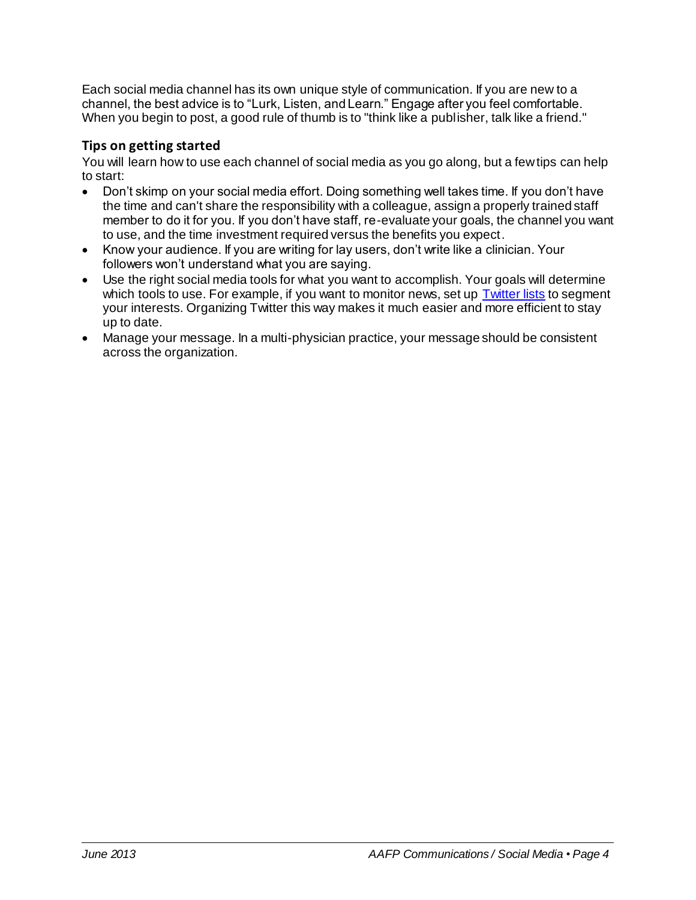Each social media channel has its own unique style of communication. If you are new to a channel, the best advice is to "Lurk, Listen, and Learn." Engage after you feel comfortable. When you begin to post, a good rule of thumb is to "think like a publisher, talk like a friend."

# **Tips on getting started**

You will learn how to use each channel of social media as you go along, but a few tips can help to start:

- Don't skimp on your social media effort. Doing something well takes time. If you don't have the time and can't share the responsibility with a colleague, assign a properly trained staff member to do it for you. If you don't have staff, re-evaluate your goals, the channel you want to use, and the time investment required versus the benefits you expect.
- Know your audience. If you are writing for lay users, don't write like a clinician. Your followers won't understand what you are saying.
- Use the right social media tools for what you want to accomplish. Your goals will determine which tools to use. For example, if you want to monitor news, set up [Twitter lists](https://support.twitter.com/articles/76460-how-to-use-twitter-lists) to segment your interests. Organizing Twitter this way makes it much easier and more efficient to stay up to date.
- Manage your message. In a multi-physician practice, your message should be consistent across the organization.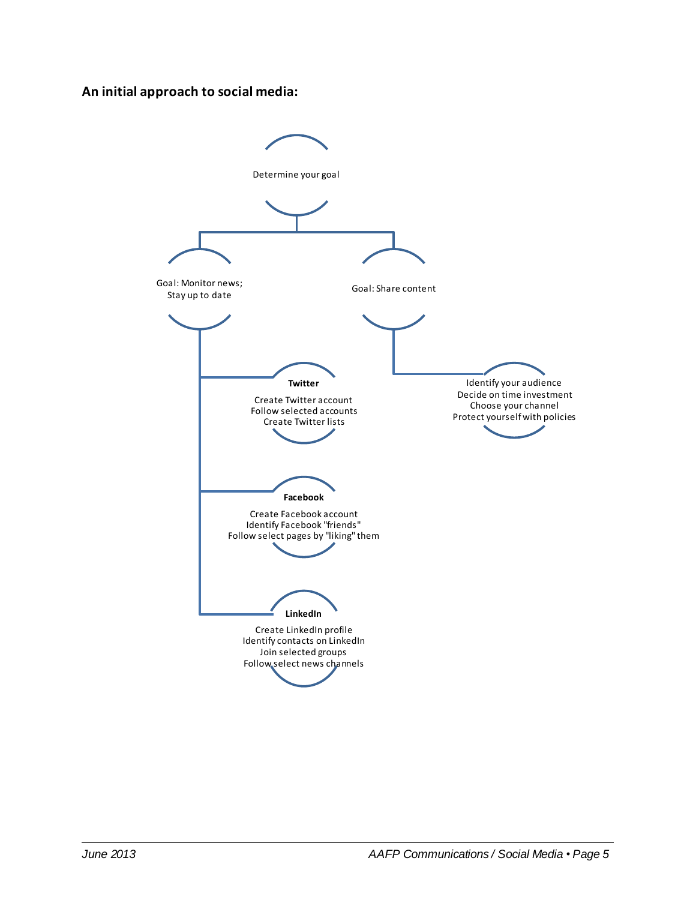#### **An initial approach to social media:**

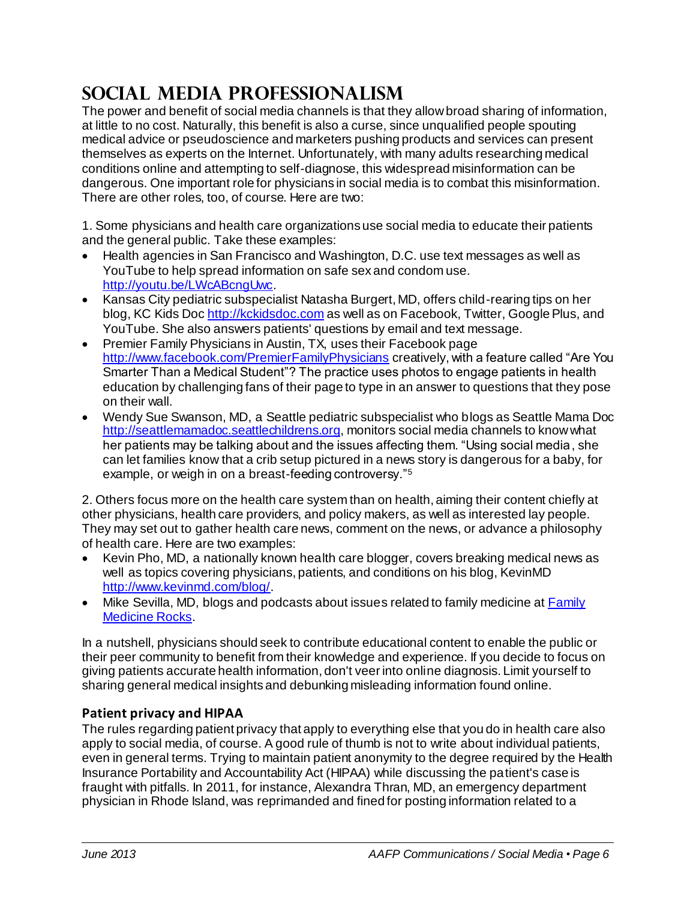# **Social Media Professionalism**

The power and benefit of social media channels is that they allow broad sharing of information, at little to no cost. Naturally, this benefit is also a curse, since unqualified people spouting medical advice or pseudoscience and marketers pushing products and services can present themselves as experts on the Internet. Unfortunately, with many adults researching medical conditions online and attempting to self-diagnose, this widespread misinformation can be dangerous. One important role for physicians in social media is to combat this misinformation. There are other roles, too, of course. Here are two:

1. Some physicians and health care organizations use social media to educate their patients and the general public. Take these examples:

- Health agencies in San Francisco and Washington, D.C. use text messages as well as YouTube to help spread information on safe sex and condom use. [http://youtu.be/LWcABcngUwc.](http://youtu.be/LWcABcngUwc)
- Kansas City pediatric subspecialist Natasha Burgert, MD, offers child-rearing tips on her blog, KC Kids Do[c http://kckidsdoc.com](http://kckidsdoc.com/) as well as on Facebook, Twitter, Google Plus, and YouTube. She also answers patients' questions by email and text message.
- Premier Family Physicians in Austin, TX, uses their Facebook page <http://www.facebook.com/PremierFamilyPhysicians> creatively, with a feature called "Are You Smarter Than a Medical Student"? The practice uses photos to engage patients in health education by challenging fans of their page to type in an answer to questions that they pose on their wall.
- Wendy Sue Swanson, MD, a Seattle pediatric subspecialist who blogs as Seattle Mama Doc [http://seattlemamadoc.seattlechildrens.org](http://seattlemamadoc.seattlechildrens.org/), monitors social media channels to know what her patients may be talking about and the issues affecting them. "Using social media, she can let families know that a crib setup pictured in a news story is dangerous for a baby, for example, or weigh in on a breast-feeding controversy."<sup>5</sup>

2. Others focus more on the health care system than on health, aiming their content chiefly at other physicians, health care providers, and policy makers, as well as interested lay people. They may set out to gather health care news, comment on the news, or advance a philosophy of health care. Here are two examples:

- Kevin Pho, MD, a nationally known health care blogger, covers breaking medical news as well as topics covering physicians, patients, and conditions on his blog, KevinMD [http://www.kevinmd.com/blog/.](http://www.kevinmd.com/blog/)
- Mike Sevilla, MD, blogs and podcasts about issues related to family medicine at Family [Medicine Rocks.](http://www.familymedicinerocks.com/)

In a nutshell, physicians should seek to contribute educational content to enable the public or their peer community to benefit from their knowledge and experience. If you decide to focus on giving patients accurate health information, don't veer into online diagnosis. Limit yourself to sharing general medical insights and debunking misleading information found online.

## **Patient privacy and HIPAA**

The rules regarding patient privacy that apply to everything else that you do in health care also apply to social media, of course. A good rule of thumb is not to write about individual patients, even in general terms. Trying to maintain patient anonymity to the degree required by the Health Insurance Portability and Accountability Act (HIPAA) while discussing the patient's case is fraught with pitfalls. In 2011, for instance, Alexandra Thran, MD, an emergency department physician in Rhode Island, was reprimanded and fined for posting information related to a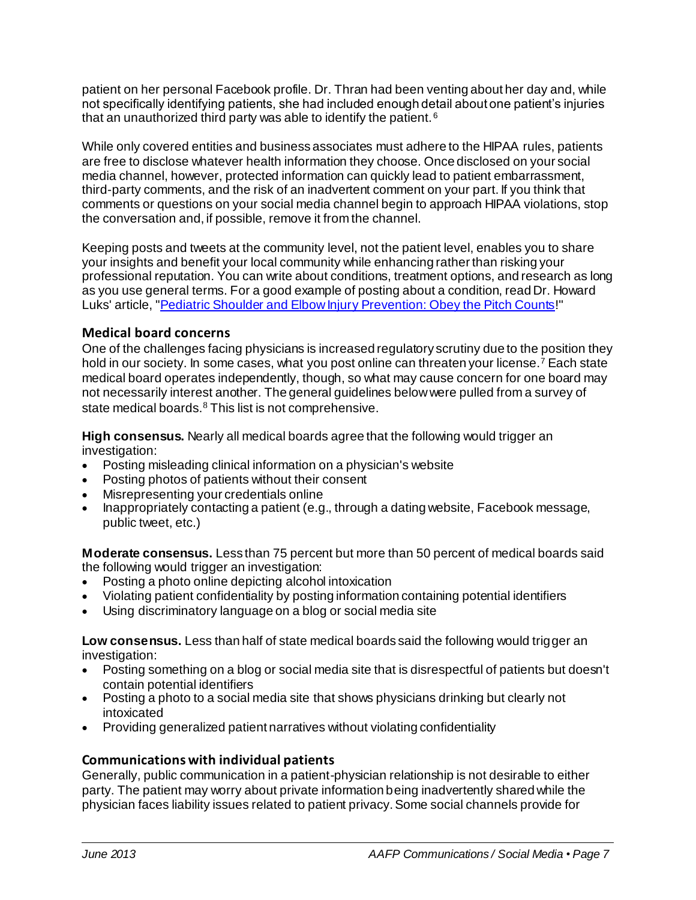patient on her personal Facebook profile. Dr. Thran had been venting about her day and, while not specifically identifying patients, she had included enough detail about one patient's injuries that an unauthorized third party was able to identify the patient. <sup>6</sup>

While only covered entities and business associates must adhere to the HIPAA rules, patients are free to disclose whatever health information they choose. Once disclosed on your social media channel, however, protected information can quickly lead to patient embarrassment, third-party comments, and the risk of an inadvertent comment on your part. If you think that comments or questions on your social media channel begin to approach HIPAA violations, stop the conversation and, if possible, remove it from the channel.

Keeping posts and tweets at the community level, not the patient level, enables you to share your insights and benefit your local community while enhancing rather than risking your professional reputation. You can write about conditions, treatment options, and research as long as you use general terms. For a good example of posting about a condition, read Dr. Howard Luks' article, ["Pediatric Shoulder and Elbow Injury Prevention: Obey the Pitch Counts](http://www.howardluksmd.com/pediatric-orthopedic/pediatric-shoulder-and-elbow-injury-prevention-obeying-pitch-counts/)!"

## **Medical board concerns**

One of the challenges facing physicians is increased regulatory scrutiny due to the position they hold in our society. In some cases, what you post online can threaten your license.<sup>7</sup> Each state medical board operates independently, though, so what may cause concern for one board may not necessarily interest another. The general guidelines below were pulled from a survey of state medical boards.<sup>8</sup> This list is not comprehensive.

**High consensus.** Nearly all medical boards agree that the following would trigger an investigation:

- Posting misleading clinical information on a physician's website
- Posting photos of patients without their consent
- Misrepresenting your credentials online
- Inappropriately contacting a patient (e.g., through a dating website, Facebook message, public tweet, etc.)

**Moderate consensus.** Less than 75 percent but more than 50 percent of medical boards said the following would trigger an investigation:

- Posting a photo online depicting alcohol intoxication
- Violating patient confidentiality by posting information containing potential identifiers
- Using discriminatory language on a blog or social media site

**Low consensus.** Less than half of state medical boards said the following would trigger an investigation:

- Posting something on a blog or social media site that is disrespectful of patients but doesn't contain potential identifiers
- Posting a photo to a social media site that shows physicians drinking but clearly not intoxicated
- Providing generalized patient narratives without violating confidentiality

#### **Communications with individual patients**

Generally, public communication in a patient-physician relationship is not desirable to either party. The patient may worry about private information being inadvertently shared while the physician faces liability issues related to patient privacy. Some social channels provide for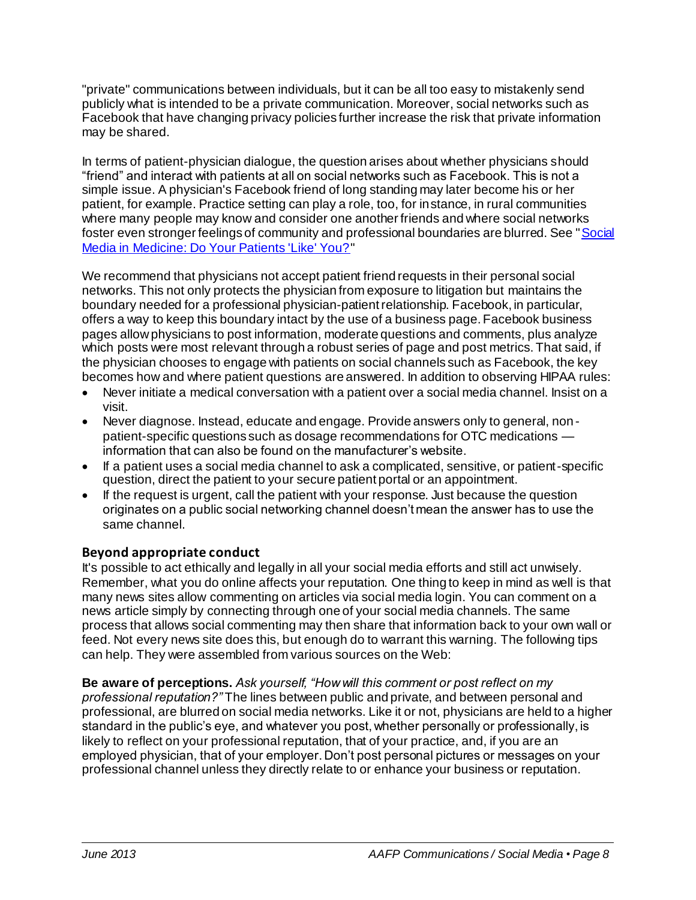"private" communications between individuals, but it can be all too easy to mistakenly send publicly what is intended to be a private communication. Moreover, social networks such as Facebook that have changing privacy policies further increase the risk that private information may be shared.

In terms of patient-physician dialogue, the question arises about whether physicians should "friend" and interact with patients at all on social networks such as Facebook. This is not a simple issue. A physician's Facebook friend of long standing may later become his or her patient, for example. Practice setting can play a role, too, for instance, in rural communities where many people may know and consider one another friends and where social networks foster even stronger feelings of community and professional boundaries are blurred. See ["Social](http://www.aafp.org/news-now/opinion/20120629editbrull.html)  [Media in Medicine: Do Your Patients 'Like' You?](http://www.aafp.org/news-now/opinion/20120629editbrull.html)"

We recommend that physicians not accept patient friend requests in their personal social networks. This not only protects the physician from exposure to litigation but maintains the boundary needed for a professional physician-patient relationship. Facebook, in particular, offers a way to keep this boundary intact by the use of a business page. Facebook business pages allow physicians to post information, moderate questions and comments, plus analyze which posts were most relevant through a robust series of page and post metrics. That said, if the physician chooses to engage with patients on social channels such as Facebook, the key becomes how and where patient questions are answered. In addition to observing HIPAA rules:

- Never initiate a medical conversation with a patient over a social media channel. Insist on a visit.
- Never diagnose. Instead, educate and engage. Provide answers only to general, nonpatient-specific questions such as dosage recommendations for OTC medications information that can also be found on the manufacturer's website.
- If a patient uses a social media channel to ask a complicated, sensitive, or patient-specific question, direct the patient to your secure patient portal or an appointment.
- If the request is urgent, call the patient with your response. Just because the question originates on a public social networking channel doesn't mean the answer has to use the same channel.

## **Beyond appropriate conduct**

It's possible to act ethically and legally in all your social media efforts and still act unwisely. Remember, what you do online affects your reputation. One thing to keep in mind as well is that many news sites allow commenting on articles via social media login. You can comment on a news article simply by connecting through one of your social media channels. The same process that allows social commenting may then share that information back to your own wall or feed. Not every news site does this, but enough do to warrant this warning. The following tips can help. They were assembled from various sources on the Web:

**Be aware of perceptions.** *Ask yourself, "How will this comment or post reflect on my professional reputation?"* The lines between public and private, and between personal and professional, are blurred on social media networks. Like it or not, physicians are held to a higher standard in the public's eye, and whatever you post, whether personally or professionally, is likely to reflect on your professional reputation, that of your practice, and, if you are an employed physician, that of your employer. Don't post personal pictures or messages on your professional channel unless they directly relate to or enhance your business or reputation.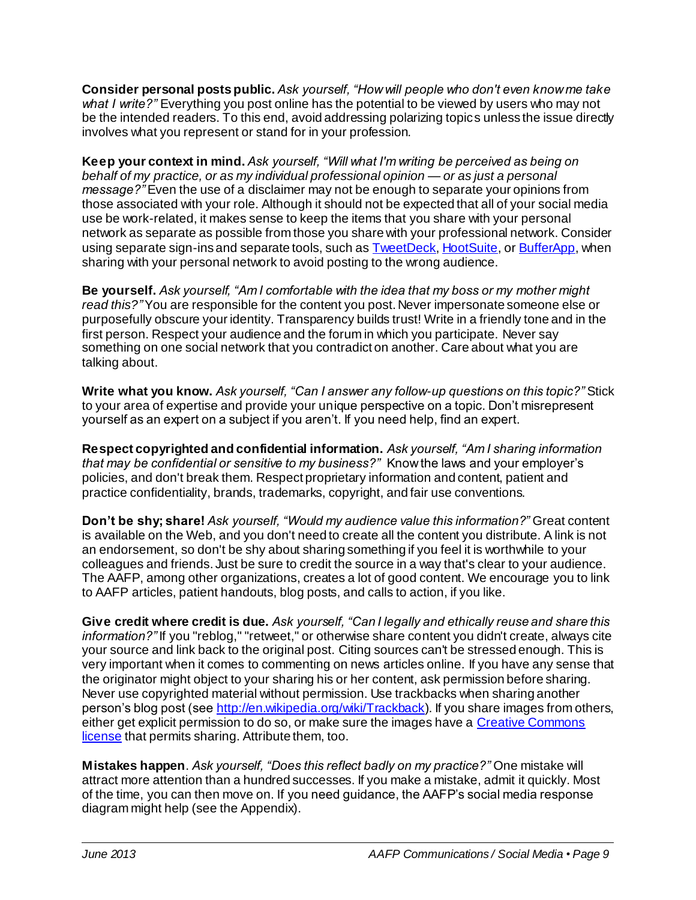**Consider personal posts public.** *Ask yourself, "How will people who don't even know me take what I write?"* Everything you post online has the potential to be viewed by users who may not be the intended readers. To this end, avoid addressing polarizing topics unless the issue directly involves what you represent or stand for in your profession.

**Keep your context in mind.** *Ask yourself, "Will what I'm writing be perceived as being on behalf of my practice, or as my individual professional opinion — or as just a personal message?"* Even the use of a disclaimer may not be enough to separate your opinions from those associated with your role. Although it should not be expected that all of your social media use be work-related, it makes sense to keep the items that you share with your personal network as separate as possible from those you share with your professional network. Consider using separate sign-ins and separate tools, such as **TweetDeck**[, HootSuite](http://hootsuite.com/), o[r BufferApp](http://bufferapp.com/), when sharing with your personal network to avoid posting to the wrong audience.

**Be yourself.** *Ask yourself, "Am I comfortable with the idea that my boss or my mother might read this?"* You are responsible for the content you post. Never impersonate someone else or purposefully obscure your identity. Transparency builds trust! Write in a friendly tone and in the first person. Respect your audience and the forum in which you participate. Never say something on one social network that you contradict on another. Care about what you are talking about.

**Write what you know.** *Ask yourself, "Can I answer any follow-up questions on this topic?"* Stick to your area of expertise and provide your unique perspective on a topic. Don't misrepresent yourself as an expert on a subject if you aren't. If you need help, find an expert.

**Respect copyrighted and confidential information.** *Ask yourself, "Am I sharing information that may be confidential or sensitive to my business?"* Know the laws and your employer's policies, and don't break them. Respect proprietary information and content, patient and practice confidentiality, brands, trademarks, copyright, and fair use conventions.

**Don't be shy; share!** *Ask yourself, "Would my audience value this information?"* Great content is available on the Web, and you don't need to create all the content you distribute. A link is not an endorsement, so don't be shy about sharing something if you feel it is worthwhile to your colleagues and friends. Just be sure to credit the source in a way that's clear to your audience. The AAFP, among other organizations, creates a lot of good content. We encourage you to link to AAFP articles, patient handouts, blog posts, and calls to action, if you like.

**Give credit where credit is due.** *Ask yourself, "Can I legally and ethically reuse and share this information?"* If you "reblog," "retweet," or otherwise share content you didn't create, always cite your source and link back to the original post. Citing sources can't be stressed enough. This is very important when it comes to commenting on news articles online. If you have any sense that the originator might object to your sharing his or her content, ask permission before sharing. Never use copyrighted material without permission. Use trackbacks when sharing another person's blog post (se[e http://en.wikipedia.org/wiki/Trackback](http://en.wikipedia.org/wiki/Trackback)). If you share images from others, either get explicit permission to do so, or make sure the images have a [Creative Commons](http://creativecommons.org/)  [license](http://creativecommons.org/) that permits sharing. Attribute them, too.

**Mistakes happen**. *Ask yourself, "Does this reflect badly on my practice?"* One mistake will attract more attention than a hundred successes. If you make a mistake, admit it quickly. Most of the time, you can then move on. If you need guidance, the AAFP's social media response diagram might help (see the Appendix).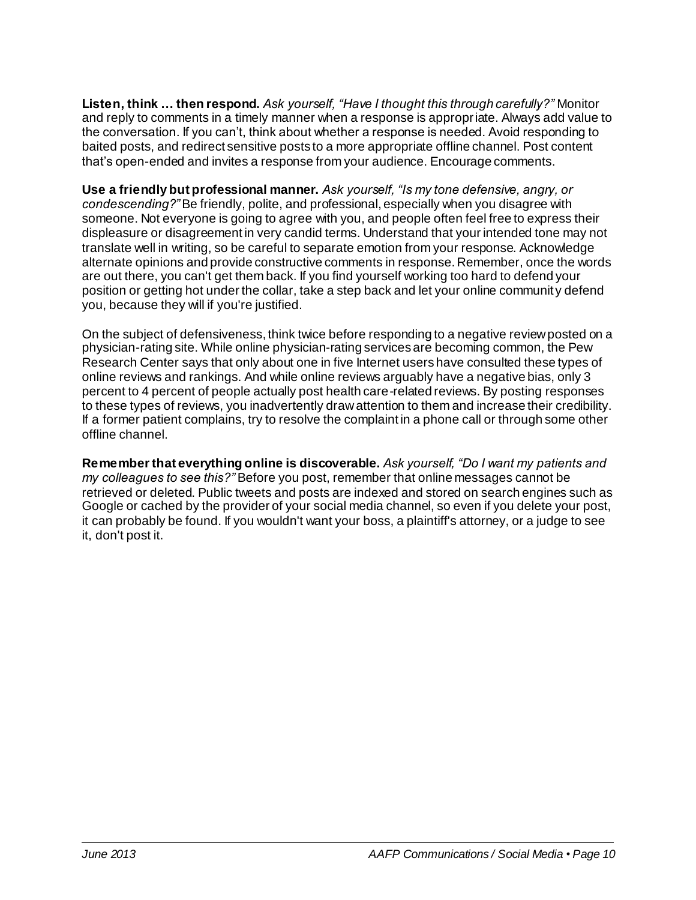**Listen, think … then respond.** *Ask yourself, "Have I thought this through carefully?"* Monitor and reply to comments in a timely manner when a response is appropriate. Always add value to the conversation. If you can't, think about whether a response is needed. Avoid responding to baited posts, and redirect sensitive posts to a more appropriate offline channel. Post content that's open-ended and invites a response from your audience. Encourage comments.

**Use a friendly but professional manner.** *Ask yourself, "Is my tone defensive, angry, or condescending?"* Be friendly, polite, and professional, especially when you disagree with someone. Not everyone is going to agree with you, and people often feel free to express their displeasure or disagreement in very candid terms. Understand that your intended tone may not translate well in writing, so be careful to separate emotion from your response. Acknowledge alternate opinions and provide constructive comments in response. Remember, once the words are out there, you can't get them back. If you find yourself working too hard to defend your position or getting hot under the collar, take a step back and let your online communit y defend you, because they will if you're justified.

On the subject of defensiveness, think twice before responding to a negative review posted on a physician-rating site. While online physician-rating services are becoming common, the Pew Research Center says that only about one in five Internet users have consulted these types of online reviews and rankings. And while online reviews arguably have a negative bias, only 3 percent to 4 percent of people actually post health care-related reviews. By posting responses to these types of reviews, you inadvertently draw attention to them and increase their credibility. If a former patient complains, try to resolve the complaint in a phone call or through some other offline channel.

**Remember that everything online is discoverable.** *Ask yourself, "Do I want my patients and my colleagues to see this?"* Before you post, remember that online messages cannot be retrieved or deleted. Public tweets and posts are indexed and stored on search engines such as Google or cached by the provider of your social media channel, so even if you delete your post, it can probably be found. If you wouldn't want your boss, a plaintiff's attorney, or a judge to see it, don't post it.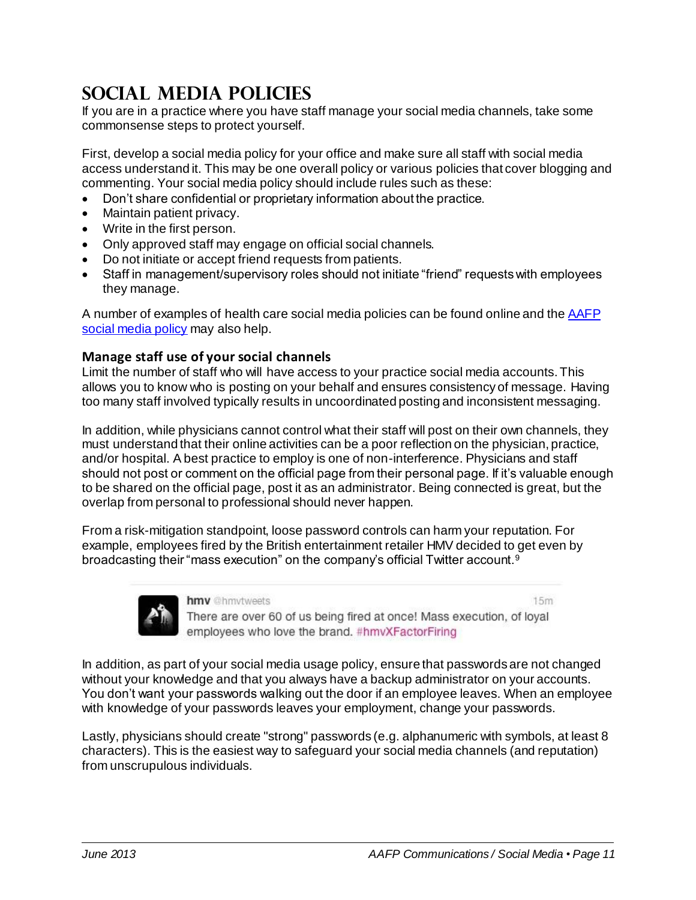# **Social Media POLICIES**

If you are in a practice where you have staff manage your social media channels, take some commonsense steps to protect yourself.

First, develop a social media policy for your office and make sure all staff with social media access understand it. This may be one overall policy or various policies that cover blogging and commenting. Your social media policy should include rules such as these:

- Don't share confidential or proprietary information about the practice.
- Maintain patient privacy.
- Write in the first person.
- Only approved staff may engage on official social channels.
- Do not initiate or accept friend requests from patients.
- Staff in management/supervisory roles should not initiate "friend" requests with employees they manage.

A number of examples of health care social media policies can be found online and th[e AAFP](https://staff.aafp.org/staff/policies/job-aid/website/social-media-for-staff.html)  [social media policy](https://staff.aafp.org/staff/policies/job-aid/website/social-media-for-staff.html) may also help.

#### **Manage staff use of your social channels**

Limit the number of staff who will have access to your practice social media accounts. This allows you to know who is posting on your behalf and ensures consistency of message. Having too many staff involved typically results in uncoordinated posting and inconsistent messaging.

In addition, while physicians cannot control what their staff will post on their own channels, they must understand that their online activities can be a poor reflection on the physician, practice, and/or hospital. A best practice to employ is one of non-interference. Physicians and staff should not post or comment on the official page from their personal page. If it's valuable enough to be shared on the official page, post it as an administrator. Being connected is great, but the overlap from personal to professional should never happen.

From a risk-mitigation standpoint, loose password controls can harm your reputation. For example, employees fired by the British entertainment retailer HMV decided to get even by broadcasting their "mass execution" on the company's official Twitter account.<sup>9</sup>



hmv @hmvtweets

 $15m$ 

There are over 60 of us being fired at once! Mass execution, of loyal employees who love the brand. #hmvXFactorFiring

In addition, as part of your social media usage policy, ensure that passwords are not changed without your knowledge and that you always have a backup administrator on your accounts. You don't want your passwords walking out the door if an employee leaves. When an employee with knowledge of your passwords leaves your employment, change your passwords.

Lastly, physicians should create "strong" passwords (e.g. alphanumeric with symbols, at least 8 characters). This is the easiest way to safeguard your social media channels (and reputation) from unscrupulous individuals.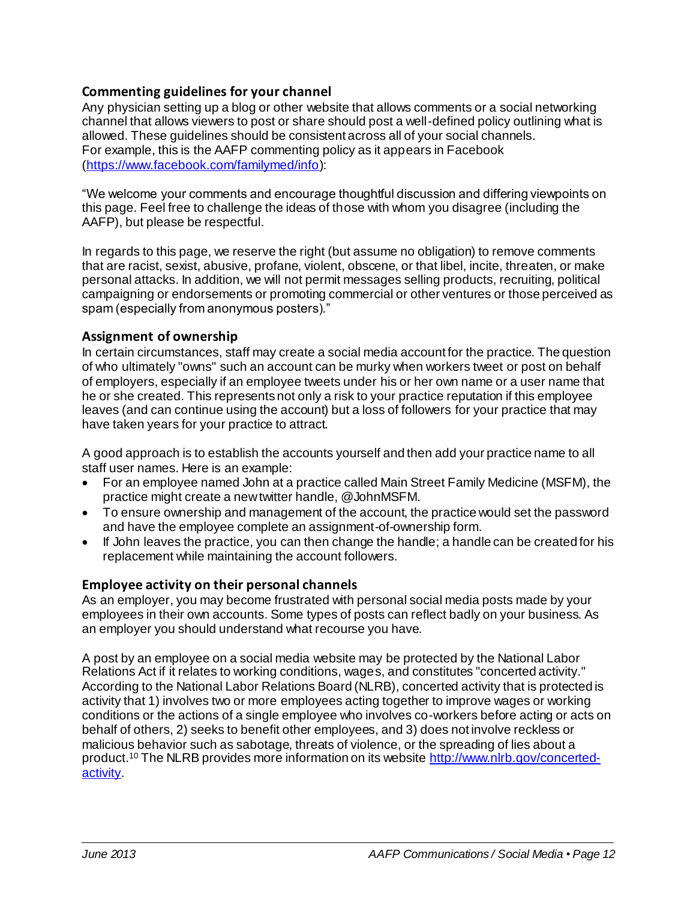#### **Commenting guidelines for your channel**

Any physician setting up a blog or other website that allows comments or a social networking channel that allows viewers to post or share should post a well-defined policy outlining what is allowed. These guidelines should be consistent across all of your social channels. For example, this is the AAFP commenting policy as it appears in Facebook [\(https://www.facebook.com/familymed/info](https://www.facebook.com/familymed/info)):

"We welcome your comments and encourage thoughtful discussion and differing viewpoints on this page. Feel free to challenge the ideas of those with whom you disagree (including the AAFP), but please be respectful.

In regards to this page, we reserve the right (but assume no obligation) to remove comments that are racist, sexist, abusive, profane, violent, obscene, or that libel, incite, threaten, or make personal attacks. In addition, we will not permit messages selling products, recruiting, political campaigning or endorsements or promoting commercial or other ventures or those perceived as spam (especially from anonymous posters)."

#### **Assignment of ownership**

In certain circumstances, staff may create a social media account for the practice. The question of who ultimately "owns" such an account can be murky when workers tweet or post on behalf of employers, especially if an employee tweets under his or her own name or a user name that he or she created. This represents not only a risk to your practice reputation if this employee leaves (and can continue using the account) but a loss of followers for your practice that may have taken years for your practice to attract.

A good approach is to establish the accounts yourself and then add your practice name to all staff user names. Here is an example:

- For an employee named John at a practice called Main Street Family Medicine (MSFM), the practice might create a new twitter handle, @JohnMSFM.
- To ensure ownership and management of the account, the practice would set the password and have the employee complete an assignment-of-ownership form.
- If John leaves the practice, you can then change the handle; a handle can be created for his replacement while maintaining the account followers.

#### **Employee activity on their personal channels**

As an employer, you may become frustrated with personal social media posts made by your employees in their own accounts. Some types of posts can reflect badly on your business. As an employer you should understand what recourse you have.

A post by an employee on a social media website may be protected by the National Labor Relations Act if it relates to working conditions, wages, and constitutes "concerted activity." According to the National Labor Relations Board (NLRB), concerted activity that is protected is activity that 1) involves two or more employees acting together to improve wages or working conditions or the actions of a single employee who involves co-workers before acting or acts on behalf of others, 2) seeks to benefit other employees, and 3) does not involve reckless or malicious behavior such as sabotage, threats of violence, or the spreading of lies about a product.<sup>10</sup> The NLRB provides more information on its website [http://www.nlrb.gov/concerted](http://www.nlrb.gov/concerted-activity)[activity.](http://www.nlrb.gov/concerted-activity)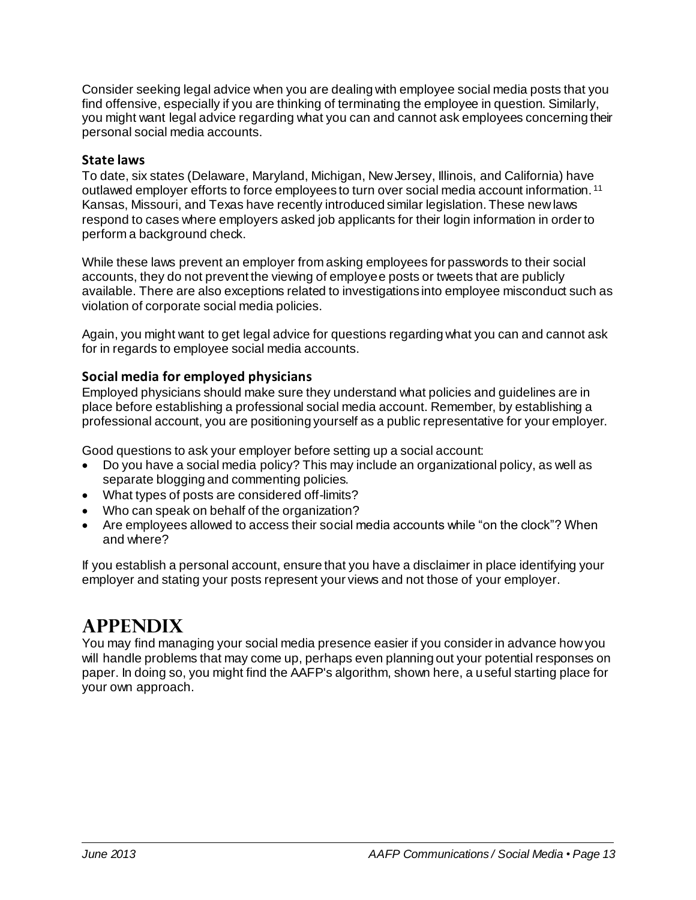Consider seeking legal advice when you are dealing with employee social media posts that you find offensive, especially if you are thinking of terminating the employee in question. Similarly, you might want legal advice regarding what you can and cannot ask employees concerning their personal social media accounts.

#### **State laws**

To date, six states (Delaware, Maryland, Michigan, New Jersey, Illinois, and California) have outlawed employer efforts to force employees to turn over social media account information. <sup>11</sup> Kansas, Missouri, and Texas have recently introduced similar legislation. These new laws respond to cases where employers asked job applicants for their login information in order to perform a background check.

While these laws prevent an employer from asking employees for passwords to their social accounts, they do not prevent the viewing of employee posts or tweets that are publicly available. There are also exceptions related to investigations into employee misconduct such as violation of corporate social media policies.

Again, you might want to get legal advice for questions regarding what you can and cannot ask for in regards to employee social media accounts.

## **Social media for employed physicians**

Employed physicians should make sure they understand what policies and guidelines are in place before establishing a professional social media account. Remember, by establishing a professional account, you are positioning yourself as a public representative for your employer.

Good questions to ask your employer before setting up a social account:

- Do you have a social media policy? This may include an organizational policy, as well as separate blogging and commenting policies.
- What types of posts are considered off-limits?
- Who can speak on behalf of the organization?
- Are employees allowed to access their social media accounts while "on the clock"? When and where?

If you establish a personal account, ensure that you have a disclaimer in place identifying your employer and stating your posts represent your views and not those of your employer.

# **Appendix**

You may find managing your social media presence easier if you consider in advance how you will handle problems that may come up, perhaps even planning out your potential responses on paper. In doing so, you might find the AAFP's algorithm, shown here, a useful starting place for your own approach.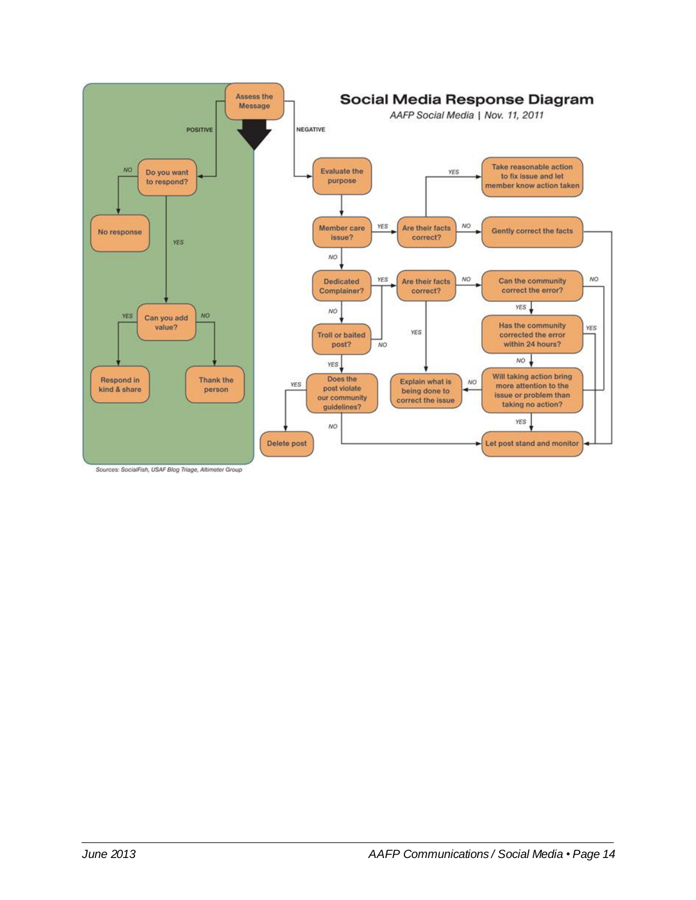